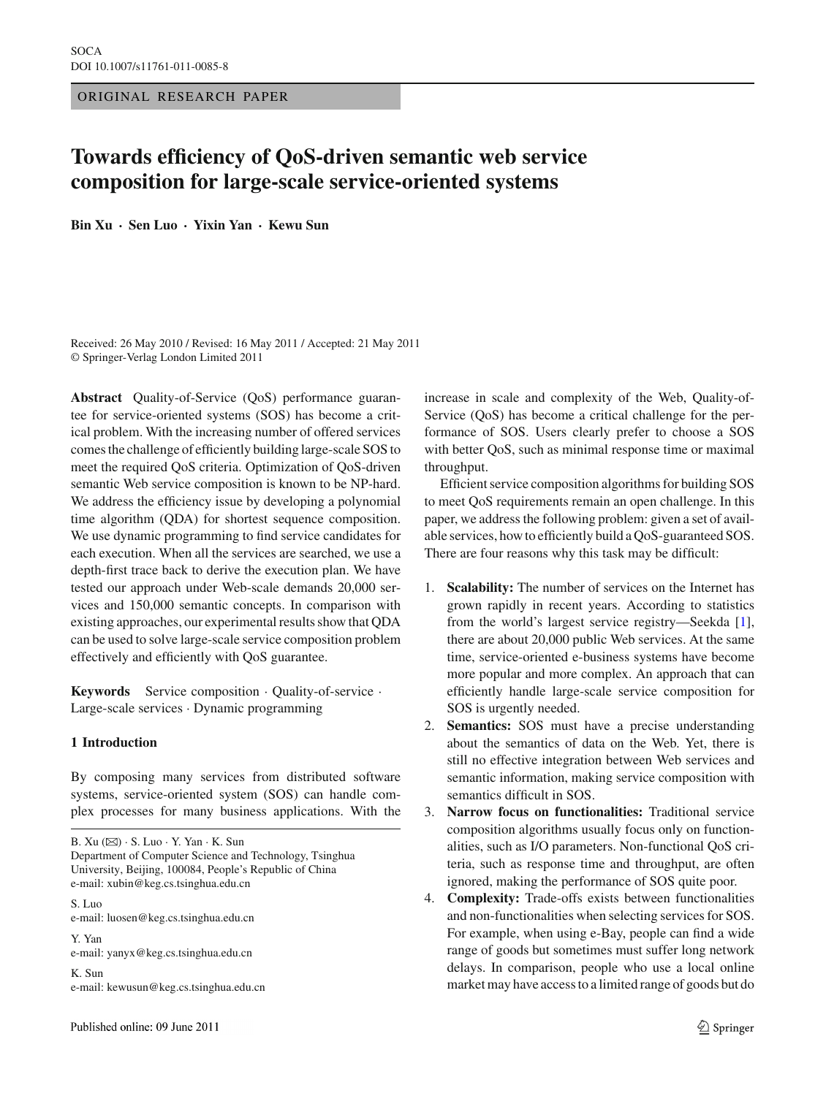ORIGINAL RESEARCH PAPER

# **Towards efficiency of QoS-driven semantic web service composition for large-scale service-oriented systems**

**Bin Xu · Sen Luo · Yixin Yan · Kewu Sun**

Received: 26 May 2010 / Revised: 16 May 2011 / Accepted: 21 May 2011 © Springer-Verlag London Limited 2011

**Abstract** Quality-of-Service (QoS) performance guarantee for service-oriented systems (SOS) has become a critical problem. With the increasing number of offered services comes the challenge of efficiently building large-scale SOS to meet the required QoS criteria. Optimization of QoS-driven semantic Web service composition is known to be NP-hard. We address the efficiency issue by developing a polynomial time algorithm (QDA) for shortest sequence composition. We use dynamic programming to find service candidates for each execution. When all the services are searched, we use a depth-first trace back to derive the execution plan. We have tested our approach under Web-scale demands 20,000 services and 150,000 semantic concepts. In comparison with existing approaches, our experimental results show that QDA can be used to solve large-scale service composition problem effectively and efficiently with QoS guarantee.

**Keywords** Service composition · Quality-of-service · Large-scale services · Dynamic programming

#### **1 Introduction**

By composing many services from distributed software systems, service-oriented system (SOS) can handle complex processes for many business applications. With the

B. Xu (B) · S. Luo · Y. Yan · K. Sun

Department of Computer Science and Technology, Tsinghua University, Beijing, 100084, People's Republic of China e-mail: xubin@keg.cs.tsinghua.edu.cn

S. Luo e-mail: luosen@keg.cs.tsinghua.edu.cn

Y. Yan e-mail: yanyx@keg.cs.tsinghua.edu.cn

K. Sun e-mail: kewusun@keg.cs.tsinghua.edu.cn increase in scale and complexity of the Web, Quality-of-Service (QoS) has become a critical challenge for the performance of SOS. Users clearly prefer to choose a SOS with better QoS, such as minimal response time or maximal throughput.

Efficient service composition algorithms for building SOS to meet QoS requirements remain an open challenge. In this paper, we address the following problem: given a set of available services, how to efficiently build a QoS-guaranteed SOS. There are four reasons why this task may be difficult:

- 1. **Scalability:** The number of services on the Internet has grown rapidly in recent years. According to statistics from the world's largest service registry—Seekda [\[1](#page-12-0)], there are about 20,000 public Web services. At the same time, service-oriented e-business systems have become more popular and more complex. An approach that can efficiently handle large-scale service composition for SOS is urgently needed.
- 2. **Semantics:** SOS must have a precise understanding about the semantics of data on the Web. Yet, there is still no effective integration between Web services and semantic information, making service composition with semantics difficult in SOS.
- 3. **Narrow focus on functionalities:** Traditional service composition algorithms usually focus only on functionalities, such as I/O parameters. Non-functional QoS criteria, such as response time and throughput, are often ignored, making the performance of SOS quite poor.
- 4. **Complexity:** Trade-offs exists between functionalities and non-functionalities when selecting services for SOS. For example, when using e-Bay, people can find a wide range of goods but sometimes must suffer long network delays. In comparison, people who use a local online market may have access to a limited range of goods but do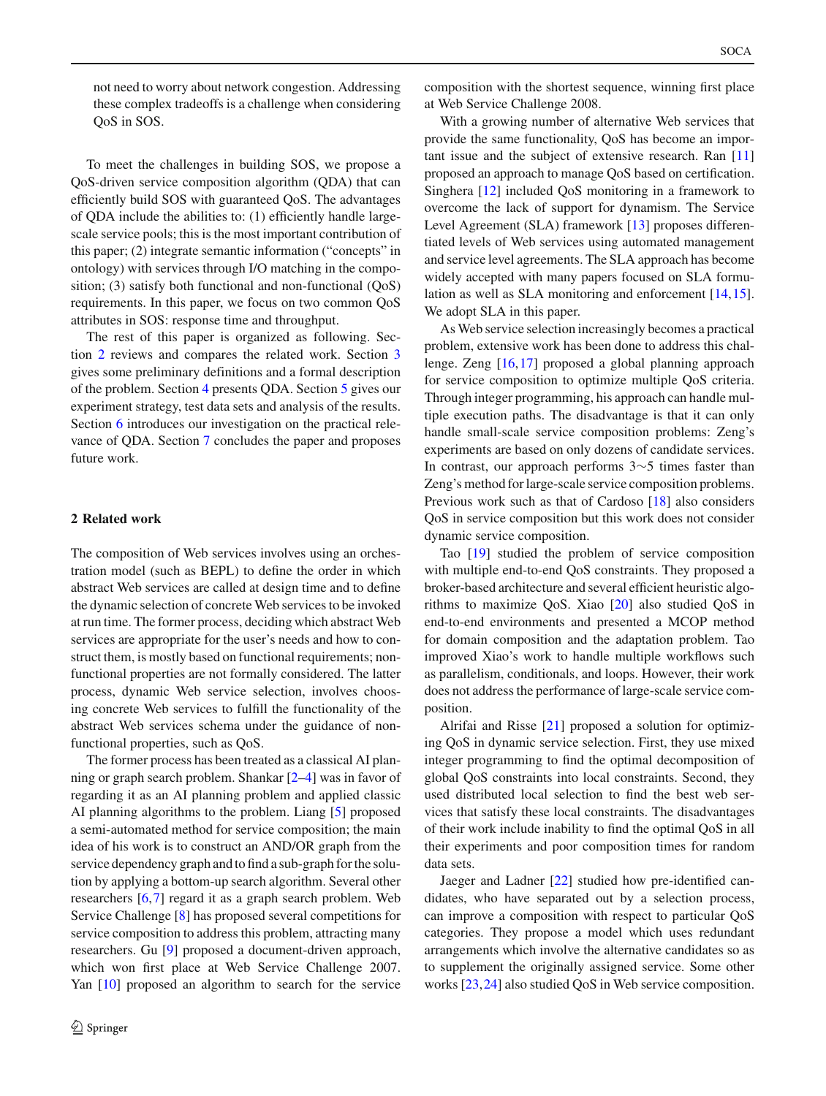not need to worry about network congestion. Addressing these complex tradeoffs is a challenge when considering QoS in SOS.

To meet the challenges in building SOS, we propose a QoS-driven service composition algorithm (QDA) that can efficiently build SOS with guaranteed QoS. The advantages of QDA include the abilities to: (1) efficiently handle largescale service pools; this is the most important contribution of this paper; (2) integrate semantic information ("concepts" in ontology) with services through I/O matching in the composition; (3) satisfy both functional and non-functional (QoS) requirements. In this paper, we focus on two common QoS attributes in SOS: response time and throughput.

The rest of this paper is organized as following. Section [2](#page-1-0) reviews and compares the related work. Section [3](#page-2-0) gives some preliminary definitions and a formal description of the problem. Section [4](#page-4-0) presents QDA. Section [5](#page-8-0) gives our experiment strategy, test data sets and analysis of the results. Section [6](#page-11-0) introduces our investigation on the practical relevance of QDA. Section [7](#page-11-1) concludes the paper and proposes future work.

## <span id="page-1-0"></span>**2 Related work**

The composition of Web services involves using an orchestration model (such as BEPL) to define the order in which abstract Web services are called at design time and to define the dynamic selection of concrete Web services to be invoked at run time. The former process, deciding which abstract Web services are appropriate for the user's needs and how to construct them, is mostly based on functional requirements; nonfunctional properties are not formally considered. The latter process, dynamic Web service selection, involves choosing concrete Web services to fulfill the functionality of the abstract Web services schema under the guidance of nonfunctional properties, such as QoS.

The former process has been treated as a classical AI planning or graph search problem. Shankar [\[2](#page-12-1)[–4](#page-12-2)] was in favor of regarding it as an AI planning problem and applied classic AI planning algorithms to the problem. Liang [\[5](#page-12-3)] proposed a semi-automated method for service composition; the main idea of his work is to construct an AND/OR graph from the service dependency graph and to find a sub-graph for the solution by applying a bottom-up search algorithm. Several other researchers [\[6](#page-12-4),[7](#page-12-5)] regard it as a graph search problem. Web Service Challenge [\[8\]](#page-12-6) has proposed several competitions for service composition to address this problem, attracting many researchers. Gu [\[9](#page-12-7)] proposed a document-driven approach, which won first place at Web Service Challenge 2007. Yan [\[10\]](#page-12-8) proposed an algorithm to search for the service composition with the shortest sequence, winning first place at Web Service Challenge 2008.

With a growing number of alternative Web services that provide the same functionality, QoS has become an important issue and the subject of extensive research. Ran [\[11\]](#page-12-9) proposed an approach to manage QoS based on certification. Singhera [\[12](#page-12-10)] included QoS monitoring in a framework to overcome the lack of support for dynamism. The Service Level Agreement (SLA) framework [\[13](#page-12-11)] proposes differentiated levels of Web services using automated management and service level agreements. The SLA approach has become widely accepted with many papers focused on SLA formulation as well as SLA monitoring and enforcement [\[14](#page-12-12)[,15](#page-12-13)]. We adopt SLA in this paper.

As Web service selection increasingly becomes a practical problem, extensive work has been done to address this challenge. Zeng [\[16,](#page-12-14)[17\]](#page-12-15) proposed a global planning approach for service composition to optimize multiple QoS criteria. Through integer programming, his approach can handle multiple execution paths. The disadvantage is that it can only handle small-scale service composition problems: Zeng's experiments are based on only dozens of candidate services. In contrast, our approach performs 3∼5 times faster than Zeng's method for large-scale service composition problems. Previous work such as that of Cardoso [\[18\]](#page-12-16) also considers QoS in service composition but this work does not consider dynamic service composition.

Tao [\[19\]](#page-12-17) studied the problem of service composition with multiple end-to-end QoS constraints. They proposed a broker-based architecture and several efficient heuristic algorithms to maximize QoS. Xiao [\[20](#page-12-18)] also studied QoS in end-to-end environments and presented a MCOP method for domain composition and the adaptation problem. Tao improved Xiao's work to handle multiple workflows such as parallelism, conditionals, and loops. However, their work does not address the performance of large-scale service composition.

Alrifai and Risse [\[21](#page-12-19)] proposed a solution for optimizing QoS in dynamic service selection. First, they use mixed integer programming to find the optimal decomposition of global QoS constraints into local constraints. Second, they used distributed local selection to find the best web services that satisfy these local constraints. The disadvantages of their work include inability to find the optimal QoS in all their experiments and poor composition times for random data sets.

Jaeger and Ladner [\[22\]](#page-12-20) studied how pre-identified candidates, who have separated out by a selection process, can improve a composition with respect to particular QoS categories. They propose a model which uses redundant arrangements which involve the alternative candidates so as to supplement the originally assigned service. Some other works [\[23,](#page-12-21)[24\]](#page-12-22) also studied QoS in Web service composition.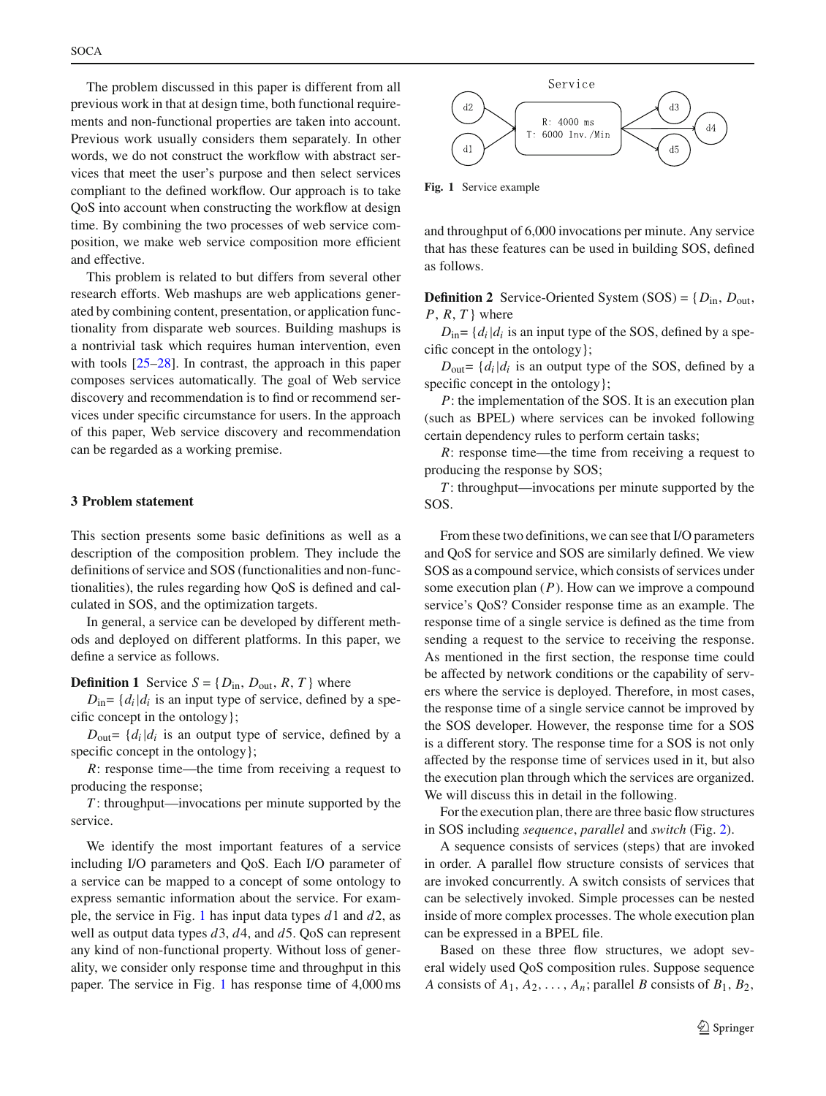The problem discussed in this paper is different from all previous work in that at design time, both functional requirements and non-functional properties are taken into account. Previous work usually considers them separately. In other words, we do not construct the workflow with abstract services that meet the user's purpose and then select services compliant to the defined workflow. Our approach is to take QoS into account when constructing the workflow at design time. By combining the two processes of web service composition, we make web service composition more efficient and effective.

This problem is related to but differs from several other research efforts. Web mashups are web applications generated by combining content, presentation, or application functionality from disparate web sources. Building mashups is a nontrivial task which requires human intervention, even with tools  $[25-28]$  $[25-28]$ . In contrast, the approach in this paper composes services automatically. The goal of Web service discovery and recommendation is to find or recommend services under specific circumstance for users. In the approach of this paper, Web service discovery and recommendation can be regarded as a working premise.

### <span id="page-2-0"></span>**3 Problem statement**

This section presents some basic definitions as well as a description of the composition problem. They include the definitions of service and SOS (functionalities and non-functionalities), the rules regarding how QoS is defined and calculated in SOS, and the optimization targets.

In general, a service can be developed by different methods and deployed on different platforms. In this paper, we define a service as follows.

<span id="page-2-3"></span>**Definition 1** Service  $S = \{D_{in}, D_{out}, R, T\}$  where

 $D_{\text{in}} = \{d_i | d_i$  is an input type of service, defined by a specific concept in the ontology};

 $D_{\text{out}} = \{d_i | d_i$  is an output type of service, defined by a specific concept in the ontology };

*R*: response time—the time from receiving a request to producing the response;

*T* : throughput—invocations per minute supported by the service.

We identify the most important features of a service including I/O parameters and QoS. Each I/O parameter of a service can be mapped to a concept of some ontology to express semantic information about the service. For example, the service in Fig. [1](#page-2-1) has input data types *d*1 and *d*2, as well as output data types *d*3, *d*4, and *d*5. QoS can represent any kind of non-functional property. Without loss of generality, we consider only response time and throughput in this paper. The service in Fig. [1](#page-2-1) has response time of 4,000 ms



<span id="page-2-1"></span>**Fig. 1** Service example

<span id="page-2-2"></span>and throughput of 6,000 invocations per minute. Any service that has these features can be used in building SOS, defined as follows.

**Definition 2** Service-Oriented System (SOS) =  $\{D_{in}, D_{out}, \}$  $P, R, T$  where

 $D_{\text{in}} = \{d_i | d_i$  is an input type of the SOS, defined by a specific concept in the ontology};

 $D_{\text{out}} = \{d_i | d_i$  is an output type of the SOS, defined by a specific concept in the ontology };

*P*: the implementation of the SOS. It is an execution plan (such as BPEL) where services can be invoked following certain dependency rules to perform certain tasks;

*R*: response time—the time from receiving a request to producing the response by SOS;

*T* : throughput—invocations per minute supported by the SOS.

From these two definitions, we can see that I/O parameters and QoS for service and SOS are similarly defined. We view SOS as a compound service, which consists of services under some execution plan (*P*). How can we improve a compound service's QoS? Consider response time as an example. The response time of a single service is defined as the time from sending a request to the service to receiving the response. As mentioned in the first section, the response time could be affected by network conditions or the capability of servers where the service is deployed. Therefore, in most cases, the response time of a single service cannot be improved by the SOS developer. However, the response time for a SOS is a different story. The response time for a SOS is not only affected by the response time of services used in it, but also the execution plan through which the services are organized. We will discuss this in detail in the following.

For the execution plan, there are three basic flow structures in SOS including *sequence*, *parallel* and *switch* (Fig. [2\)](#page-3-0).

A sequence consists of services (steps) that are invoked in order. A parallel flow structure consists of services that are invoked concurrently. A switch consists of services that can be selectively invoked. Simple processes can be nested inside of more complex processes. The whole execution plan can be expressed in a BPEL file.

Based on these three flow structures, we adopt several widely used QoS composition rules. Suppose sequence *A* consists of  $A_1, A_2, \ldots, A_n$ ; parallel *B* consists of  $B_1, B_2$ ,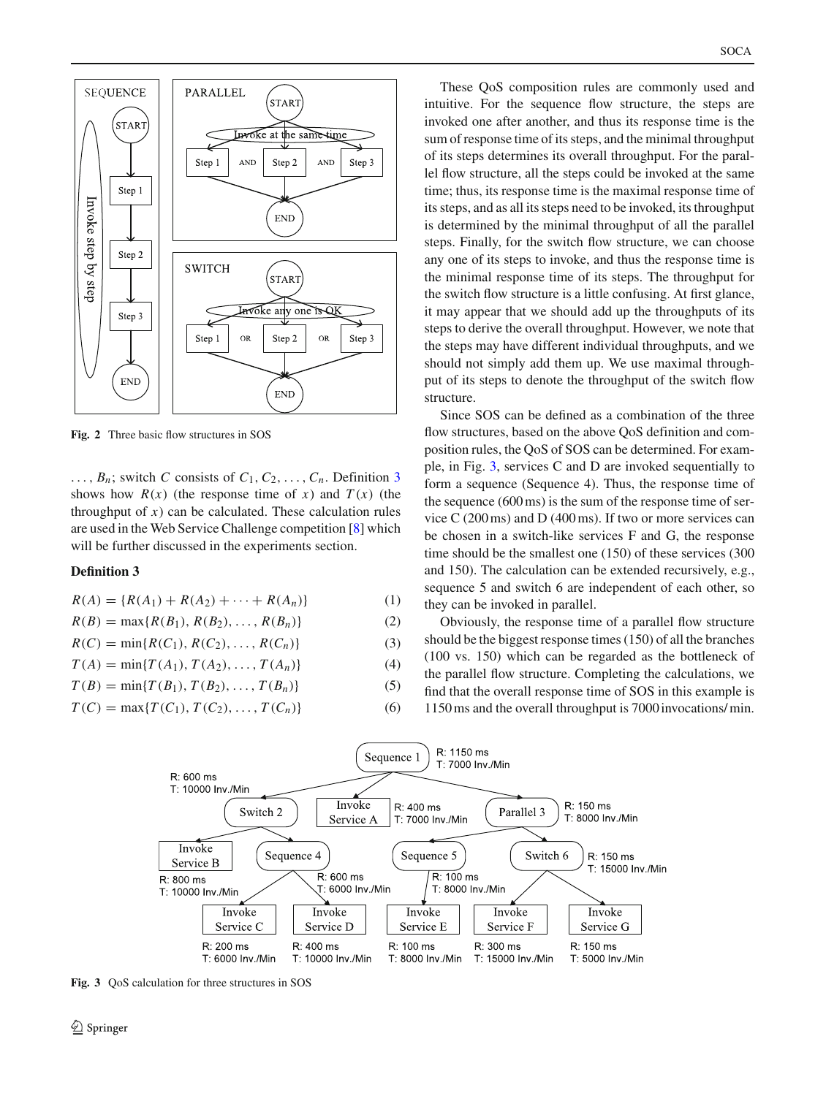

<span id="page-3-0"></span>**Fig. 2** Three basic flow structures in SOS

 $\ldots$ ,  $B_n$ ; switch *C* consists of  $C_1, C_2, \ldots, C_n$ . Definition [3](#page-3-1) shows how  $R(x)$  (the response time of *x*) and  $T(x)$  (the throughput of  $x$ ) can be calculated. These calculation rules are used in the Web Service Challenge competition [\[8\]](#page-12-6) which will be further discussed in the experiments section.

#### **Definition 3**

$$
R(A) = \{R(A_1) + R(A_2) + \dots + R(A_n)\}\tag{1}
$$

$$
R(B) = \max\{R(B_1), R(B_2), \dots, R(B_n)\}\tag{2}
$$

$$
R(C) = \min\{R(C_1), R(C_2), \dots, R(C_n)\}\tag{3}
$$

$$
T(A) = \min\{T(A_1), T(A_2), \dots, T(A_n)\}\tag{4}
$$

$$
T(B) = \min\{T(B_1), T(B_2), \dots, T(B_n)\}\tag{5}
$$

$$
T(C) = \max\{T(C_1), T(C_2), \dots, T(C_n)\}\tag{6}
$$

These QoS composition rules are commonly used and intuitive. For the sequence flow structure, the steps are invoked one after another, and thus its response time is the sum of response time of its steps, and the minimal throughput of its steps determines its overall throughput. For the parallel flow structure, all the steps could be invoked at the same time; thus, its response time is the maximal response time of its steps, and as all its steps need to be invoked, its throughput is determined by the minimal throughput of all the parallel steps. Finally, for the switch flow structure, we can choose any one of its steps to invoke, and thus the response time is the minimal response time of its steps. The throughput for the switch flow structure is a little confusing. At first glance, it may appear that we should add up the throughputs of its steps to derive the overall throughput. However, we note that the steps may have different individual throughputs, and we should not simply add them up. We use maximal throughput of its steps to denote the throughput of the switch flow structure.

Since SOS can be defined as a combination of the three flow structures, based on the above QoS definition and composition rules, the QoS of SOS can be determined. For example, in Fig. [3,](#page-3-2) services C and D are invoked sequentially to form a sequence (Sequence 4). Thus, the response time of the sequence (600 ms) is the sum of the response time of service C (200 ms) and D (400 ms). If two or more services can be chosen in a switch-like services F and G, the response time should be the smallest one (150) of these services (300 and 150). The calculation can be extended recursively, e.g., sequence 5 and switch 6 are independent of each other, so they can be invoked in parallel.

<span id="page-3-1"></span>Obviously, the response time of a parallel flow structure should be the biggest response times (150) of all the branches (100 vs. 150) which can be regarded as the bottleneck of the parallel flow structure. Completing the calculations, we find that the overall response time of SOS in this example is 1150 ms and the overall throughput is 7000 invocations/ min.



<span id="page-3-2"></span>**Fig. 3** QoS calculation for three structures in SOS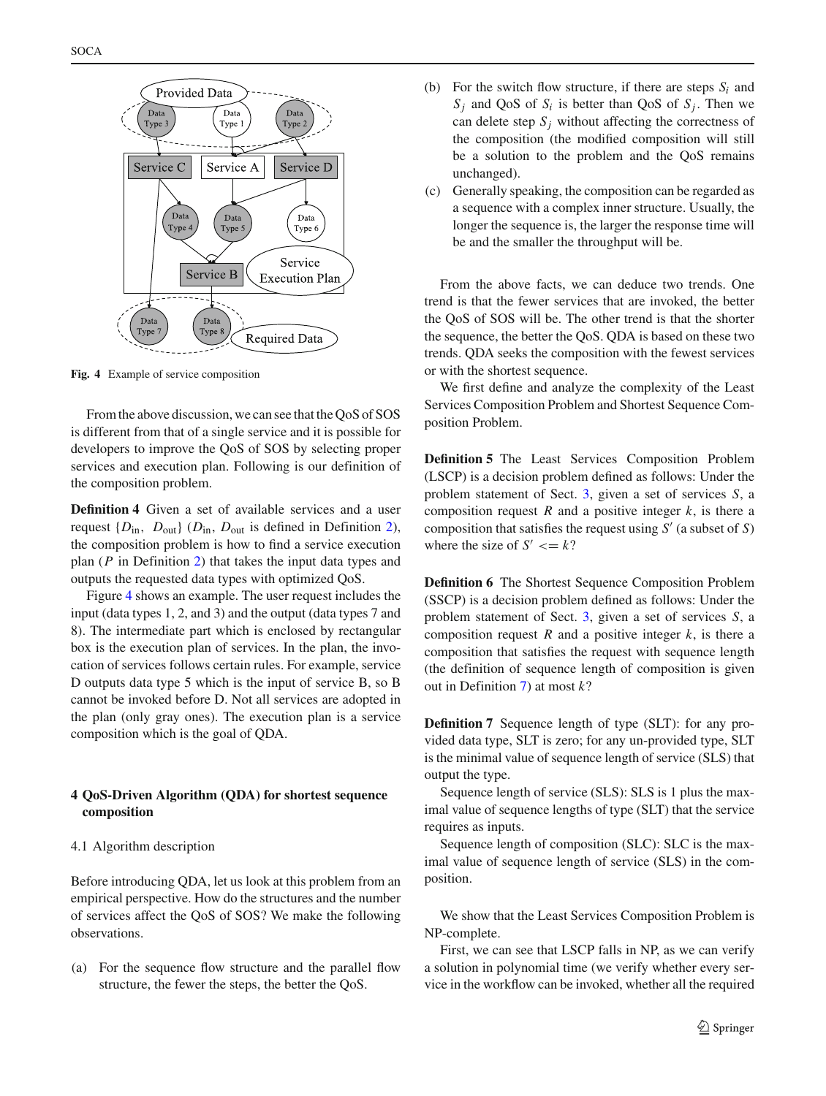

<span id="page-4-1"></span>**Fig. 4** Example of service composition

From the above discussion, we can see that the QoS of SOS is different from that of a single service and it is possible for developers to improve the QoS of SOS by selecting proper services and execution plan. Following is our definition of the composition problem.

**Definition 4** Given a set of available services and a user request  $\{D_{in}, D_{out}\}$  ( $D_{in}, D_{out}$  is defined in Definition [2\)](#page-2-2), the composition problem is how to find a service execution plan (*P* in Definition [2\)](#page-2-2) that takes the input data types and outputs the requested data types with optimized QoS.

Figure [4](#page-4-1) shows an example. The user request includes the input (data types 1, 2, and 3) and the output (data types 7 and 8). The intermediate part which is enclosed by rectangular box is the execution plan of services. In the plan, the invocation of services follows certain rules. For example, service D outputs data type 5 which is the input of service B, so B cannot be invoked before D. Not all services are adopted in the plan (only gray ones). The execution plan is a service composition which is the goal of QDA.

# <span id="page-4-0"></span>**4 QoS-Driven Algorithm (QDA) for shortest sequence composition**

#### 4.1 Algorithm description

Before introducing QDA, let us look at this problem from an empirical perspective. How do the structures and the number of services affect the QoS of SOS? We make the following observations.

(a) For the sequence flow structure and the parallel flow structure, the fewer the steps, the better the QoS.

- (b) For the switch flow structure, if there are steps  $S_i$  and  $S_i$  and QoS of  $S_i$  is better than QoS of  $S_i$ . Then we can delete step  $S_i$  without affecting the correctness of the composition (the modified composition will still be a solution to the problem and the QoS remains unchanged).
- (c) Generally speaking, the composition can be regarded as a sequence with a complex inner structure. Usually, the longer the sequence is, the larger the response time will be and the smaller the throughput will be.

From the above facts, we can deduce two trends. One trend is that the fewer services that are invoked, the better the QoS of SOS will be. The other trend is that the shorter the sequence, the better the QoS. QDA is based on these two trends. QDA seeks the composition with the fewest services or with the shortest sequence.

We first define and analyze the complexity of the Least Services Composition Problem and Shortest Sequence Composition Problem.

**Definition 5** The Least Services Composition Problem (LSCP) is a decision problem defined as follows: Under the problem statement of Sect. [3,](#page-2-0) given a set of services *S*, a composition request  $R$  and a positive integer  $k$ , is there a composition that satisfies the request using  $S'$  (a subset of  $S$ ) where the size of  $S' \leq k$ ?

**Definition 6** The Shortest Sequence Composition Problem (SSCP) is a decision problem defined as follows: Under the problem statement of Sect. [3,](#page-2-0) given a set of services *S*, a composition request  $R$  and a positive integer  $k$ , is there a composition that satisfies the request with sequence length (the definition of sequence length of composition is given out in Definition [7\)](#page-4-2) at most *k*?

<span id="page-4-2"></span>**Definition 7** Sequence length of type (SLT): for any provided data type, SLT is zero; for any un-provided type, SLT is the minimal value of sequence length of service (SLS) that output the type.

Sequence length of service (SLS): SLS is 1 plus the maximal value of sequence lengths of type (SLT) that the service requires as inputs.

Sequence length of composition (SLC): SLC is the maximal value of sequence length of service (SLS) in the composition.

We show that the Least Services Composition Problem is NP-complete.

First, we can see that LSCP falls in NP, as we can verify a solution in polynomial time (we verify whether every service in the workflow can be invoked, whether all the required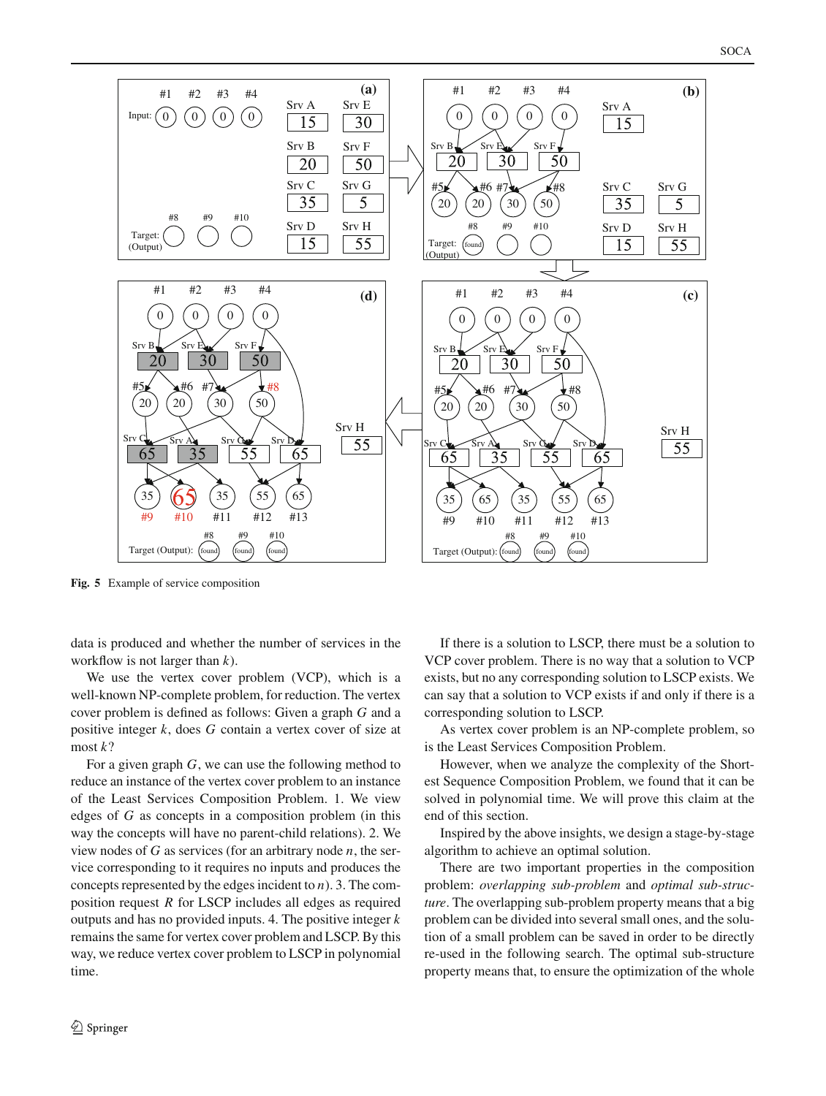

<span id="page-5-0"></span>**Fig. 5** Example of service composition

data is produced and whether the number of services in the workflow is not larger than *k*).

We use the vertex cover problem (VCP), which is a well-known NP-complete problem, for reduction. The vertex cover problem is defined as follows: Given a graph *G* and a positive integer *k*, does *G* contain a vertex cover of size at most *k*?

For a given graph *G*, we can use the following method to reduce an instance of the vertex cover problem to an instance of the Least Services Composition Problem. 1. We view edges of *G* as concepts in a composition problem (in this way the concepts will have no parent-child relations). 2. We view nodes of *G* as services (for an arbitrary node *n*, the service corresponding to it requires no inputs and produces the concepts represented by the edges incident to *n*). 3. The composition request *R* for LSCP includes all edges as required outputs and has no provided inputs. 4. The positive integer *k* remains the same for vertex cover problem and LSCP. By this way, we reduce vertex cover problem to LSCP in polynomial time.

<sup>2</sup> Springer

If there is a solution to LSCP, there must be a solution to VCP cover problem. There is no way that a solution to VCP exists, but no any corresponding solution to LSCP exists. We can say that a solution to VCP exists if and only if there is a corresponding solution to LSCP.

As vertex cover problem is an NP-complete problem, so is the Least Services Composition Problem.

However, when we analyze the complexity of the Shortest Sequence Composition Problem, we found that it can be solved in polynomial time. We will prove this claim at the end of this section.

Inspired by the above insights, we design a stage-by-stage algorithm to achieve an optimal solution.

There are two important properties in the composition problem: *overlapping sub-problem* and *optimal sub-structure*. The overlapping sub-problem property means that a big problem can be divided into several small ones, and the solution of a small problem can be saved in order to be directly re-used in the following search. The optimal sub-structure property means that, to ensure the optimization of the whole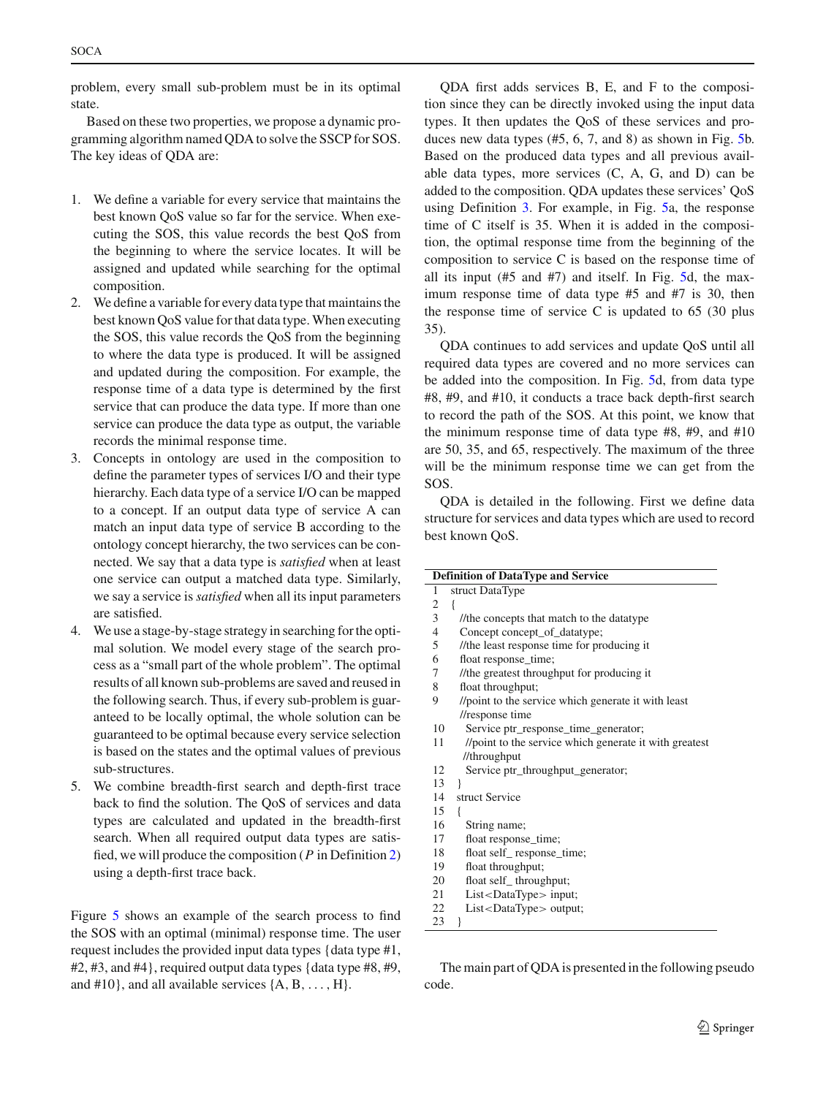problem, every small sub-problem must be in its optimal state.

Based on these two properties, we propose a dynamic programming algorithm named QDA to solve the SSCP for SOS. The key ideas of QDA are:

- 1. We define a variable for every service that maintains the best known QoS value so far for the service. When executing the SOS, this value records the best QoS from the beginning to where the service locates. It will be assigned and updated while searching for the optimal composition.
- 2. We define a variable for every data type that maintains the best known QoS value for that data type. When executing the SOS, this value records the QoS from the beginning to where the data type is produced. It will be assigned and updated during the composition. For example, the response time of a data type is determined by the first service that can produce the data type. If more than one service can produce the data type as output, the variable records the minimal response time.
- 3. Concepts in ontology are used in the composition to define the parameter types of services I/O and their type hierarchy. Each data type of a service I/O can be mapped to a concept. If an output data type of service A can match an input data type of service B according to the ontology concept hierarchy, the two services can be connected. We say that a data type is *satisfied* when at least one service can output a matched data type. Similarly, we say a service is *satisfied* when all its input parameters are satisfied.
- 4. We use a stage-by-stage strategy in searching for the optimal solution. We model every stage of the search process as a "small part of the whole problem". The optimal results of all known sub-problems are saved and reused in the following search. Thus, if every sub-problem is guaranteed to be locally optimal, the whole solution can be guaranteed to be optimal because every service selection is based on the states and the optimal values of previous sub-structures.
- 5. We combine breadth-first search and depth-first trace back to find the solution. The QoS of services and data types are calculated and updated in the breadth-first search. When all required output data types are satisfied, we will produce the composition (*P* in Definition [2\)](#page-2-2) using a depth-first trace back.

Figure [5](#page-5-0) shows an example of the search process to find the SOS with an optimal (minimal) response time. The user request includes the provided input data types {data type #1, #2, #3, and #4}, required output data types {data type #8, #9, and #10}, and all available services {A*,*B*,...,* H}.

QDA first adds services B, E, and F to the composition since they can be directly invoked using the input data types. It then updates the QoS of these services and produces new data types (#5, 6, 7, and 8) as shown in Fig. [5b](#page-5-0). Based on the produced data types and all previous available data types, more services (C, A, G, and D) can be added to the composition. QDA updates these services' QoS using Definition [3.](#page-3-1) For example, in Fig. [5a](#page-5-0), the response time of C itself is 35. When it is added in the composition, the optimal response time from the beginning of the composition to service C is based on the response time of all its input (#5 and #7) and itself. In Fig. [5d](#page-5-0), the maximum response time of data type #5 and #7 is 30, then the response time of service C is updated to 65 (30 plus 35).

QDA continues to add services and update QoS until all required data types are covered and no more services can be added into the composition. In Fig. [5d](#page-5-0), from data type #8, #9, and #10, it conducts a trace back depth-first search to record the path of the SOS. At this point, we know that the minimum response time of data type #8, #9, and #10 are 50, 35, and 65, respectively. The maximum of the three will be the minimum response time we can get from the SOS.

QDA is detailed in the following. First we define data structure for services and data types which are used to record best known QoS.

| $\mathbf{1}$   | struct DataType                                        |
|----------------|--------------------------------------------------------|
| 2              | $\{$                                                   |
| 3              | //the concepts that match to the datatype              |
| $\overline{4}$ | Concept concept_of_datatype;                           |
| 5              | //the least response time for producing it             |
| 6              | float response_time;                                   |
| 7              | //the greatest throughput for producing it             |
| 8              | float throughput;                                      |
| 9              | //point to the service which generate it with least    |
|                | //response time                                        |
| 10             | Service ptr_response_time_generator;                   |
| 11             | //point to the service which generate it with greatest |
|                | //throughput                                           |
| 12             | Service ptr_throughput_generator;                      |
| 13             | ł                                                      |
| 14             | struct Service                                         |
| 15             | ł                                                      |
| 16             | String name;                                           |
| 17             | float response_time;                                   |
| 18             | float self_response_time;                              |
| 19             | float throughput;                                      |
| 20             | float self_throughput;                                 |
| 21             | $List <$ DataType $>$ input;                           |
| 22             | $List <$ DataType $>$ output;                          |
| 23             | ł                                                      |

The main part of QDA is presented in the following pseudo code.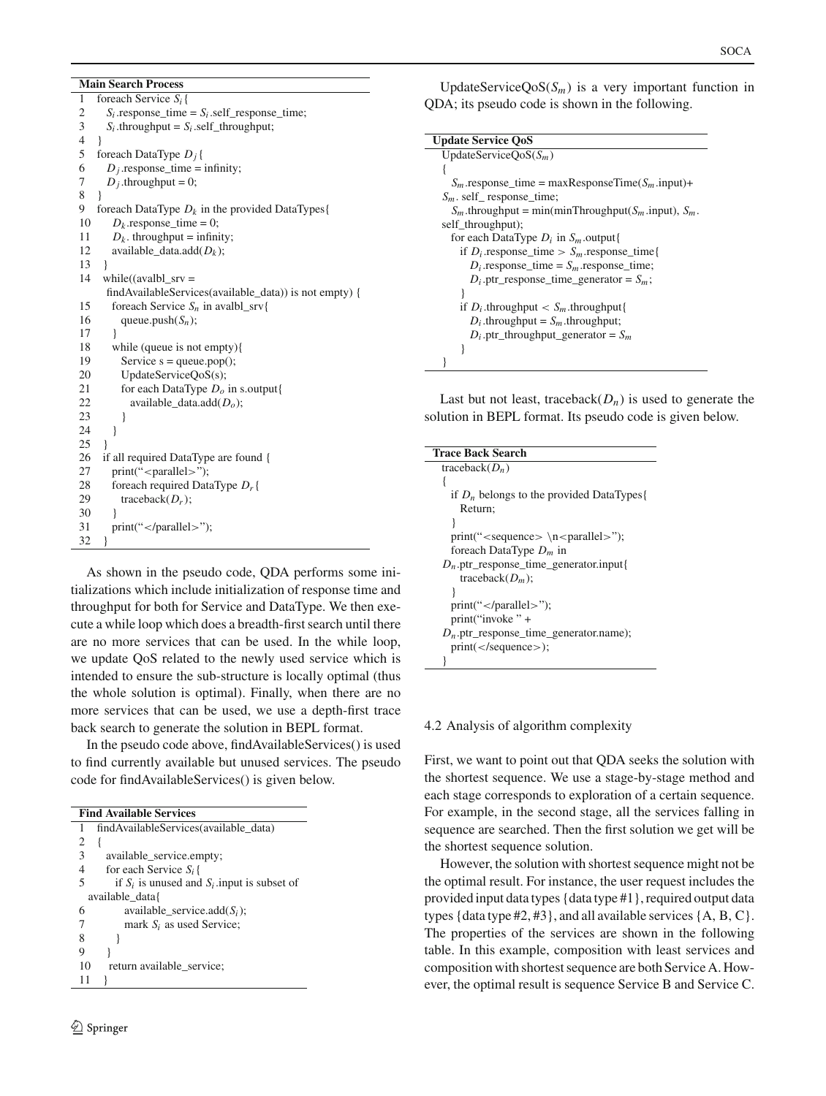#### **Main Search Process**

| 1                       | foreach Service $S_i$ {                                |
|-------------------------|--------------------------------------------------------|
| $\overline{\mathbf{c}}$ | $S_i$ response_time = $S_i$ self_response_time;        |
| 3                       | $S_i$ throughput = $S_i$ self throughput;              |
| $\overline{4}$          | ∤                                                      |
| 5                       | foreach DataType $D_i$ {                               |
| 6                       | $D_i$ response_time = infinity;                        |
| 7                       | $D_j$ .throughput = 0;                                 |
| 8                       |                                                        |
| 9                       | foreach DataType $D_k$ in the provided DataTypes {     |
| 10                      | $D_k$ response time = 0;                               |
| 11                      | $D_k$ . throughput = infinity;                         |
| 12                      | available_data.add $(D_k)$ ;                           |
| 13                      | ł                                                      |
| 14                      | while((avalbl_srv =                                    |
|                         | findAvailableServices(available_data)) is not empty) { |
| 15                      | foreach Service $S_n$ in avalbl_srv{                   |
| 16                      | queue.push $(S_n)$ ;                                   |
| 17                      | ł                                                      |
| 18                      | while (queue is not empty){                            |
| 19                      | Service $s = queue.pop();$                             |
| 20                      | UpdateServiceQoS(s);                                   |
| 21                      | for each DataType $Do$ in s.output{                    |
| 22                      | available_data.add $(Do)$ ;                            |
| 23                      | ∤                                                      |
| 24                      | ∤                                                      |
| 25                      | ł                                                      |
| 26                      | if all required DataType are found {                   |
| 27                      | $print("$ ";                                           |
| 28                      | foreach required DataType $D_r$ {                      |
| 29                      | traceback $(D_r)$ ;                                    |
| 30                      |                                                        |
| 31                      | print(");                                              |
| 32                      | }                                                      |

As shown in the pseudo code, QDA performs some initializations which include initialization of response time and throughput for both for Service and DataType. We then execute a while loop which does a breadth-first search until there are no more services that can be used. In the while loop, we update QoS related to the newly used service which is intended to ensure the sub-structure is locally optimal (thus the whole solution is optimal). Finally, when there are no more services that can be used, we use a depth-first trace back search to generate the solution in BEPL format.

In the pseudo code above, findAvailableServices() is used to find currently available but unused services. The pseudo code for findAvailableServices() is given below.

| <b>Find Available Services</b>                       |  |  |  |  |  |
|------------------------------------------------------|--|--|--|--|--|
| findAvailableServices(available data)                |  |  |  |  |  |
| 2                                                    |  |  |  |  |  |
| 3<br>available_service.empty;                        |  |  |  |  |  |
| 4<br>for each Service $S_i$ {                        |  |  |  |  |  |
| 5<br>if $S_i$ is unused and $S_i$ input is subset of |  |  |  |  |  |
| available data{                                      |  |  |  |  |  |
| available_service.add $(S_i)$ ;<br>6                 |  |  |  |  |  |
| 7<br>mark $S_i$ as used Service;                     |  |  |  |  |  |
| 8                                                    |  |  |  |  |  |
| 9                                                    |  |  |  |  |  |
| return available service;<br>10                      |  |  |  |  |  |
|                                                      |  |  |  |  |  |

UpdateService $QoS(S_m)$  is a very important function in QDA; its pseudo code is shown in the following.

```
Update Service QoS
UpdateServiceQoS(Sm)
{
  S_m.response_time = maxResponseTime(S_m.input)+
Sm. self_ response_time;
  S_m.throughput = min(minThroughput(S_m.input), S_m.
self_throughput);
  for each DataType Di in Sm.output{
    if D_i response_time > S_m response_time {
      D_i response_time = S_m response_time;
      D_i.ptr_response_time_generator = S_m;
    }
    if D_i.throughput \langle S_m.throughput\{\rangleD_i.throughput = S_m.throughput;
      D_i.ptr_throughput_generator = S_m}
}
```
Last but not least, traceback $(D_n)$  is used to generate the solution in BEPL format. Its pseudo code is given below.

# 4.2 Analysis of algorithm complexity

First, we want to point out that QDA seeks the solution with the shortest sequence. We use a stage-by-stage method and each stage corresponds to exploration of a certain sequence. For example, in the second stage, all the services falling in sequence are searched. Then the first solution we get will be the shortest sequence solution.

However, the solution with shortest sequence might not be the optimal result. For instance, the user request includes the provided input data types {data type #1}, required output data types {data type  $\#2, \#3$ }, and all available services {A, B, C}. The properties of the services are shown in the following table. In this example, composition with least services and composition with shortest sequence are both Service A. However, the optimal result is sequence Service B and Service C.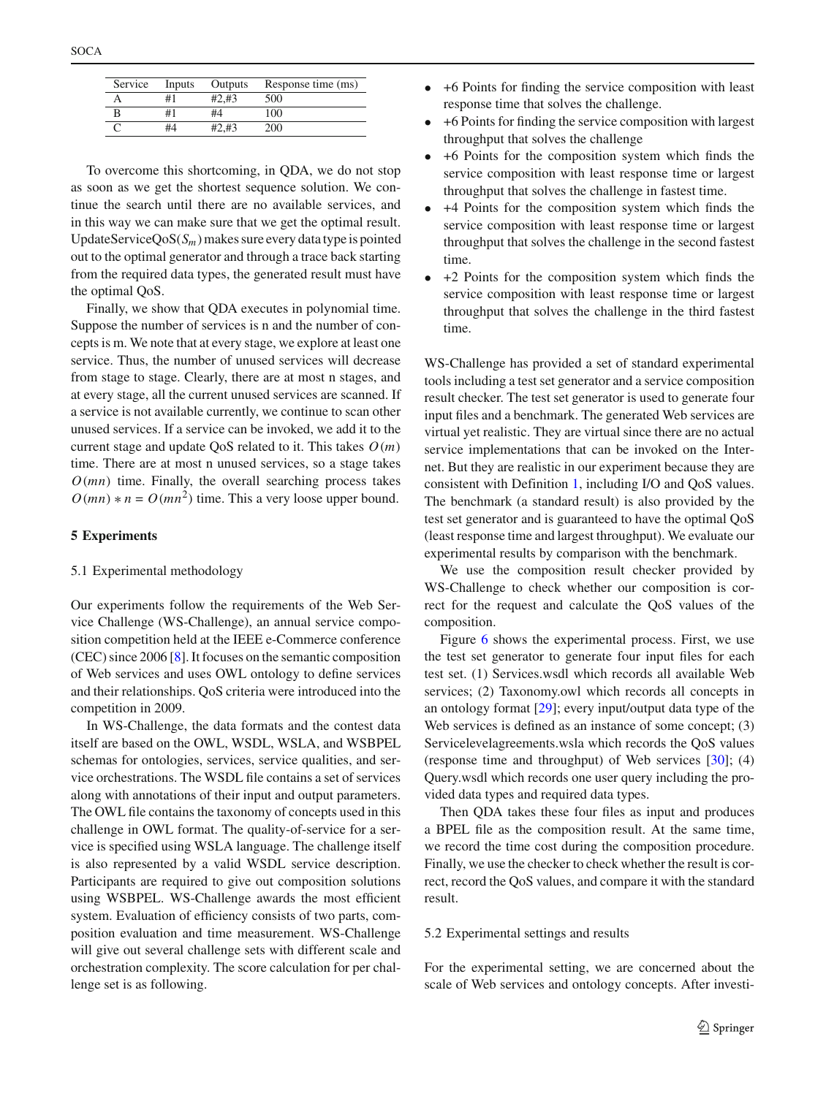|   |    | Service Inputs Outputs | Response time (ms) |
|---|----|------------------------|--------------------|
|   | #1 | $#2.+13$               | 500                |
| B | #1 | #4                     | 100                |

C  $\#4 + 2\#3$  200

To overcome this shortcoming, in QDA, we do not stop as soon as we get the shortest sequence solution. We continue the search until there are no available services, and in this way we can make sure that we get the optimal result. UpdateServiceQoS $(S_m)$  makes sure every data type is pointed out to the optimal generator and through a trace back starting from the required data types, the generated result must have the optimal QoS.

Finally, we show that QDA executes in polynomial time. Suppose the number of services is n and the number of concepts is m. We note that at every stage, we explore at least one service. Thus, the number of unused services will decrease from stage to stage. Clearly, there are at most n stages, and at every stage, all the current unused services are scanned. If a service is not available currently, we continue to scan other unused services. If a service can be invoked, we add it to the current stage and update QoS related to it. This takes *O(m)* time. There are at most n unused services, so a stage takes  $O(mn)$  time. Finally, the overall searching process takes  $O(mn) * n = O(mn^2)$  time. This a very loose upper bound.

#### <span id="page-8-0"></span>**5 Experiments**

#### 5.1 Experimental methodology

Our experiments follow the requirements of the Web Service Challenge (WS-Challenge), an annual service composition competition held at the IEEE e-Commerce conference (CEC) since 2006 [\[8\]](#page-12-6). It focuses on the semantic composition of Web services and uses OWL ontology to define services and their relationships. QoS criteria were introduced into the competition in 2009.

In WS-Challenge, the data formats and the contest data itself are based on the OWL, WSDL, WSLA, and WSBPEL schemas for ontologies, services, service qualities, and service orchestrations. The WSDL file contains a set of services along with annotations of their input and output parameters. The OWL file contains the taxonomy of concepts used in this challenge in OWL format. The quality-of-service for a service is specified using WSLA language. The challenge itself is also represented by a valid WSDL service description. Participants are required to give out composition solutions using WSBPEL. WS-Challenge awards the most efficient system. Evaluation of efficiency consists of two parts, composition evaluation and time measurement. WS-Challenge will give out several challenge sets with different scale and orchestration complexity. The score calculation for per challenge set is as following.

- +6 Points for finding the service composition with least response time that solves the challenge.
- +6 Points for finding the service composition with largest throughput that solves the challenge
- +6 Points for the composition system which finds the service composition with least response time or largest throughput that solves the challenge in fastest time.
- +4 Points for the composition system which finds the service composition with least response time or largest throughput that solves the challenge in the second fastest time.
- +2 Points for the composition system which finds the service composition with least response time or largest throughput that solves the challenge in the third fastest time.

WS-Challenge has provided a set of standard experimental tools including a test set generator and a service composition result checker. The test set generator is used to generate four input files and a benchmark. The generated Web services are virtual yet realistic. They are virtual since there are no actual service implementations that can be invoked on the Internet. But they are realistic in our experiment because they are consistent with Definition [1,](#page-2-3) including I/O and QoS values. The benchmark (a standard result) is also provided by the test set generator and is guaranteed to have the optimal QoS (least response time and largest throughput). We evaluate our experimental results by comparison with the benchmark.

We use the composition result checker provided by WS-Challenge to check whether our composition is correct for the request and calculate the QoS values of the composition.

Figure [6](#page-9-0) shows the experimental process. First, we use the test set generator to generate four input files for each test set. (1) Services.wsdl which records all available Web services; (2) Taxonomy.owl which records all concepts in an ontology format  $[29]$  $[29]$ ; every input/output data type of the Web services is defined as an instance of some concept; (3) Servicelevelagreements.wsla which records the QoS values (response time and throughput) of Web services  $[30]$ ; (4) Query.wsdl which records one user query including the provided data types and required data types.

Then QDA takes these four files as input and produces a BPEL file as the composition result. At the same time, we record the time cost during the composition procedure. Finally, we use the checker to check whether the result is correct, record the QoS values, and compare it with the standard result.

#### 5.2 Experimental settings and results

For the experimental setting, we are concerned about the scale of Web services and ontology concepts. After investi-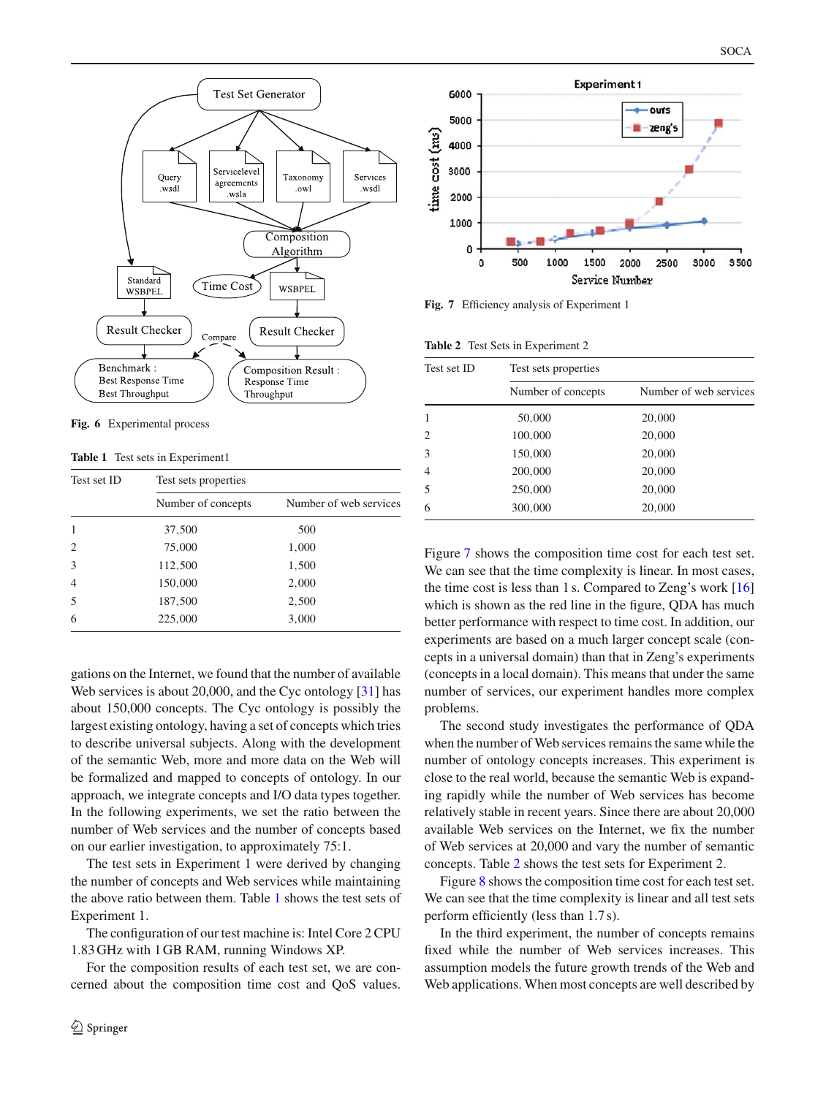

<span id="page-9-0"></span>**Fig. 6** Experimental process

**Table 1** Test sets in Experiment1

<span id="page-9-1"></span>

| Test set ID    | Test sets properties |                        |  |  |
|----------------|----------------------|------------------------|--|--|
|                | Number of concepts   | Number of web services |  |  |
| 1              | 37,500               | 500                    |  |  |
| $\overline{c}$ | 75,000               | 1,000                  |  |  |
| 3              | 112,500              | 1,500                  |  |  |
| $\overline{4}$ | 150,000              | 2,000                  |  |  |
| .5             | 187,500              | 2,500                  |  |  |
| 6              | 225,000              | 3,000                  |  |  |

gations on the Internet, we found that the number of available Web services is about 20,000, and the Cyc ontology [\[31](#page-12-27)] has about 150,000 concepts. The Cyc ontology is possibly the largest existing ontology, having a set of concepts which tries to describe universal subjects. Along with the development of the semantic Web, more and more data on the Web will be formalized and mapped to concepts of ontology. In our approach, we integrate concepts and I/O data types together. In the following experiments, we set the ratio between the number of Web services and the number of concepts based on our earlier investigation, to approximately 75:1.

The test sets in Experiment 1 were derived by changing the number of concepts and Web services while maintaining the above ratio between them. Table [1](#page-9-1) shows the test sets of Experiment 1.

The configuration of our test machine is: Intel Core 2 CPU 1.83 GHz with 1 GB RAM, running Windows XP.

For the composition results of each test set, we are concerned about the composition time cost and QoS values.



<span id="page-9-2"></span>**Fig. 7** Efficiency analysis of Experiment 1

| <b>Table 2</b> Test Sets in Experiment 2 |  |  |  |
|------------------------------------------|--|--|--|
|                                          |  |  |  |

<span id="page-9-3"></span>

| Test set ID | Test sets properties |                        |  |  |  |
|-------------|----------------------|------------------------|--|--|--|
|             | Number of concepts   | Number of web services |  |  |  |
|             | 50,000               | 20,000                 |  |  |  |
| 2           | 100,000              | 20,000                 |  |  |  |
| 3           | 150,000              | 20,000                 |  |  |  |
| 4           | 200,000              | 20,000                 |  |  |  |
| 5           | 250,000              | 20,000                 |  |  |  |
| 6           | 300,000              | 20,000                 |  |  |  |

Figure [7](#page-9-2) shows the composition time cost for each test set. We can see that the time complexity is linear. In most cases, the time cost is less than 1 s. Compared to Zeng's work [\[16\]](#page-12-14) which is shown as the red line in the figure, QDA has much better performance with respect to time cost. In addition, our experiments are based on a much larger concept scale (concepts in a universal domain) than that in Zeng's experiments (concepts in a local domain). This means that under the same number of services, our experiment handles more complex problems.

The second study investigates the performance of QDA when the number of Web services remains the same while the number of ontology concepts increases. This experiment is close to the real world, because the semantic Web is expanding rapidly while the number of Web services has become relatively stable in recent years. Since there are about 20,000 available Web services on the Internet, we fix the number of Web services at 20,000 and vary the number of semantic concepts. Table [2](#page-9-3) shows the test sets for Experiment 2.

Figure [8](#page-10-0) shows the composition time cost for each test set. We can see that the time complexity is linear and all test sets perform efficiently (less than 1.7 s).

In the third experiment, the number of concepts remains fixed while the number of Web services increases. This assumption models the future growth trends of the Web and Web applications. When most concepts are well described by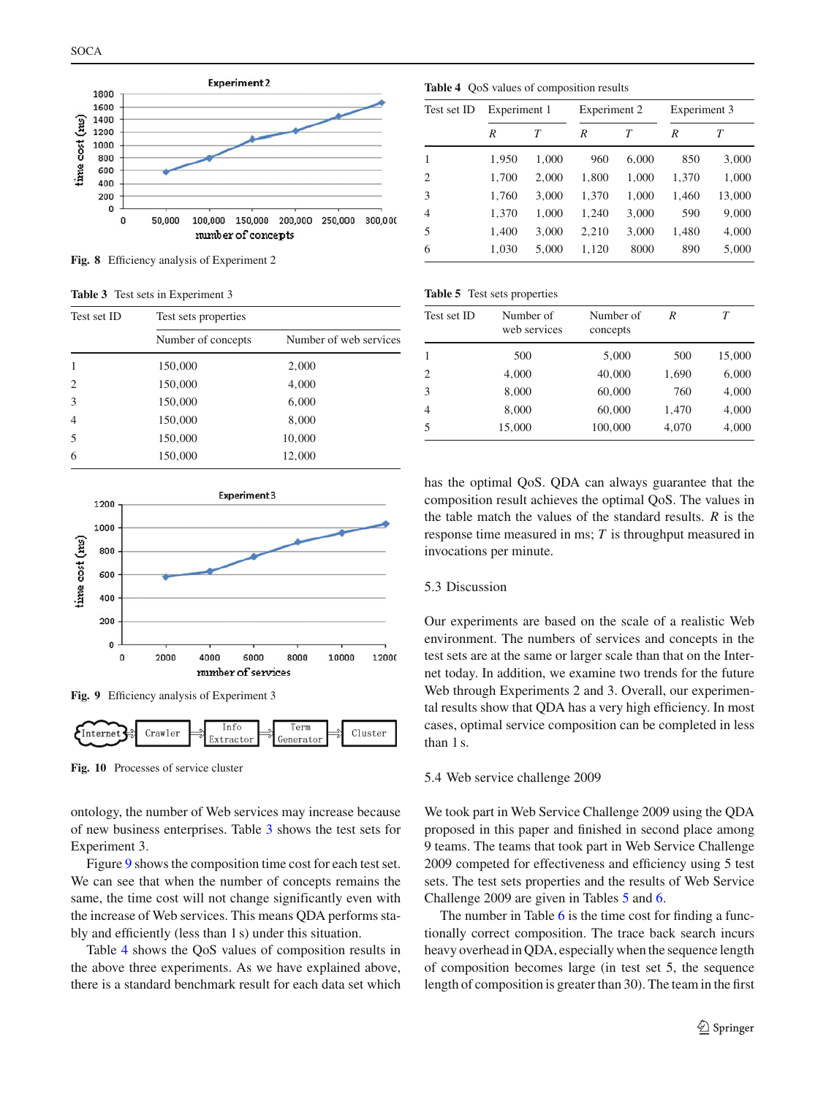

<span id="page-10-0"></span>**Fig. 8** Efficiency analysis of Experiment 2

**Table 3** Test sets in Experiment 3

<span id="page-10-1"></span>

| Test set ID                 | Test sets properties |                        |  |  |
|-----------------------------|----------------------|------------------------|--|--|
|                             | Number of concepts   | Number of web services |  |  |
|                             | 150,000              | 2,000                  |  |  |
| $\mathcal{D}_{\mathcal{L}}$ | 150,000              | 4,000                  |  |  |
| 3                           | 150,000              | 6,000                  |  |  |
| $\overline{4}$              | 150,000              | 8,000                  |  |  |
| $\overline{\mathcal{L}}$    | 150,000              | 10,000                 |  |  |
| 6                           | 150,000              | 12,000                 |  |  |



**Fig. 9** Efficiency analysis of Experiment 3

<span id="page-10-2"></span>

<span id="page-10-5"></span>**Fig. 10** Processes of service cluster

ontology, the number of Web services may increase because of new business enterprises. Table [3](#page-10-1) shows the test sets for Experiment 3.

Figure [9](#page-10-2) shows the composition time cost for each test set. We can see that when the number of concepts remains the same, the time cost will not change significantly even with the increase of Web services. This means QDA performs stably and efficiently (less than 1 s) under this situation.

Table [4](#page-10-3) shows the QoS values of composition results in the above three experiments. As we have explained above, there is a standard benchmark result for each data set which

<span id="page-10-3"></span>**Table 4** QoS values of composition results

| Test set ID | Experiment 1 |       | Experiment 2 |       | Experiment 3 |        |
|-------------|--------------|-------|--------------|-------|--------------|--------|
|             | R            | T     | R            | T     | R            | Т      |
| 1           | 1,950        | 1,000 | 960          | 6,000 | 850          | 3,000  |
| 2           | 1,700        | 2,000 | 1,800        | 1,000 | 1,370        | 1,000  |
| 3           | 1,760        | 3,000 | 1,370        | 1,000 | 1,460        | 13,000 |
| 4           | 1,370        | 1,000 | 1,240        | 3,000 | 590          | 9,000  |
| 5           | 1,400        | 3,000 | 2,210        | 3,000 | 1,480        | 4,000  |
| 6           | 1,030        | 5,000 | 1,120        | 8000  | 890          | 5,000  |

| Table 5 Test sets properties |  |  |  |  |
|------------------------------|--|--|--|--|
|------------------------------|--|--|--|--|

<span id="page-10-4"></span>

| Test set ID    | Number of<br>web services | Number of<br>concepts | R     | T      |
|----------------|---------------------------|-----------------------|-------|--------|
|                | 500                       | 5,000                 | 500   | 15,000 |
| 2              | 4,000                     | 40,000                | 1,690 | 6,000  |
| 3              | 8,000                     | 60,000                | 760   | 4,000  |
| $\overline{4}$ | 8,000                     | 60,000                | 1,470 | 4,000  |
| 5              | 15,000                    | 100,000               | 4,070 | 4,000  |
|                |                           |                       |       |        |

has the optimal QoS. QDA can always guarantee that the composition result achieves the optimal QoS. The values in the table match the values of the standard results. *R* is the response time measured in ms; *T* is throughput measured in invocations per minute.

#### 5.3 Discussion

Our experiments are based on the scale of a realistic Web environment. The numbers of services and concepts in the test sets are at the same or larger scale than that on the Internet today. In addition, we examine two trends for the future Web through Experiments 2 and 3. Overall, our experimental results show that QDA has a very high efficiency. In most cases, optimal service composition can be completed in less than 1<sub>s</sub>.

#### 5.4 Web service challenge 2009

We took part in Web Service Challenge 2009 using the QDA proposed in this paper and finished in second place among 9 teams. The teams that took part in Web Service Challenge 2009 competed for effectiveness and efficiency using 5 test sets. The test sets properties and the results of Web Service Challenge 2009 are given in Tables [5](#page-10-4) and [6.](#page-11-2)

The number in Table [6](#page-11-2) is the time cost for finding a functionally correct composition. The trace back search incurs heavy overhead in QDA, especially when the sequence length of composition becomes large (in test set 5, the sequence length of composition is greater than 30). The team in the first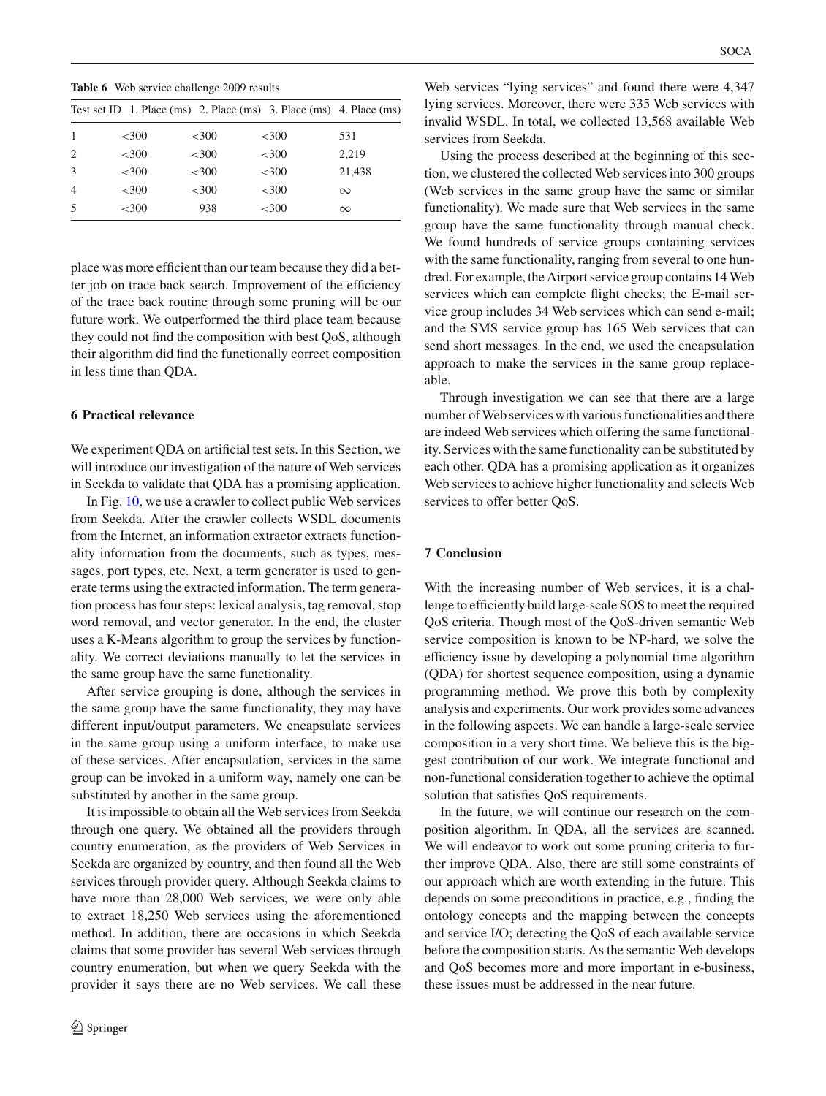**Table 6** Web service challenge 2009 results

<span id="page-11-2"></span>

|                |          |          |          | Test set ID 1. Place $(ms)$ 2. Place $(ms)$ 3. Place $(ms)$ 4. Place $(ms)$ |
|----------------|----------|----------|----------|-----------------------------------------------------------------------------|
|                | ${<}300$ | ${<}300$ | ${<}300$ | 531                                                                         |
| 2              | $<$ 300  | $<$ 300  | $<$ 300  | 2.219                                                                       |
| 3              | ${<}300$ | ${<}300$ | ${<}300$ | 21,438                                                                      |
| $\overline{4}$ | ${<}300$ | ${<}300$ | ${<}300$ | $\infty$                                                                    |
| .5             | ${<}300$ | 938      | ${<}300$ | $\infty$                                                                    |
|                |          |          |          |                                                                             |

place was more efficient than our team because they did a better job on trace back search. Improvement of the efficiency of the trace back routine through some pruning will be our future work. We outperformed the third place team because they could not find the composition with best QoS, although their algorithm did find the functionally correct composition in less time than QDA.

#### <span id="page-11-0"></span>**6 Practical relevance**

We experiment QDA on artificial test sets. In this Section, we will introduce our investigation of the nature of Web services in Seekda to validate that QDA has a promising application.

In Fig. [10,](#page-10-5) we use a crawler to collect public Web services from Seekda. After the crawler collects WSDL documents from the Internet, an information extractor extracts functionality information from the documents, such as types, messages, port types, etc. Next, a term generator is used to generate terms using the extracted information. The term generation process has four steps: lexical analysis, tag removal, stop word removal, and vector generator. In the end, the cluster uses a K-Means algorithm to group the services by functionality. We correct deviations manually to let the services in the same group have the same functionality.

After service grouping is done, although the services in the same group have the same functionality, they may have different input/output parameters. We encapsulate services in the same group using a uniform interface, to make use of these services. After encapsulation, services in the same group can be invoked in a uniform way, namely one can be substituted by another in the same group.

It is impossible to obtain all the Web services from Seekda through one query. We obtained all the providers through country enumeration, as the providers of Web Services in Seekda are organized by country, and then found all the Web services through provider query. Although Seekda claims to have more than 28,000 Web services, we were only able to extract 18,250 Web services using the aforementioned method. In addition, there are occasions in which Seekda claims that some provider has several Web services through country enumeration, but when we query Seekda with the provider it says there are no Web services. We call these

Web services "lying services" and found there were 4,347 lying services. Moreover, there were 335 Web services with invalid WSDL. In total, we collected 13,568 available Web services from Seekda.

Using the process described at the beginning of this section, we clustered the collected Web services into 300 groups (Web services in the same group have the same or similar functionality). We made sure that Web services in the same group have the same functionality through manual check. We found hundreds of service groups containing services with the same functionality, ranging from several to one hundred. For example, the Airport service group contains 14 Web services which can complete flight checks; the E-mail service group includes 34 Web services which can send e-mail; and the SMS service group has 165 Web services that can send short messages. In the end, we used the encapsulation approach to make the services in the same group replaceable.

Through investigation we can see that there are a large number of Web services with various functionalities and there are indeed Web services which offering the same functionality. Services with the same functionality can be substituted by each other. QDA has a promising application as it organizes Web services to achieve higher functionality and selects Web services to offer better QoS.

# <span id="page-11-1"></span>**7 Conclusion**

With the increasing number of Web services, it is a challenge to efficiently build large-scale SOS to meet the required QoS criteria. Though most of the QoS-driven semantic Web service composition is known to be NP-hard, we solve the efficiency issue by developing a polynomial time algorithm (QDA) for shortest sequence composition, using a dynamic programming method. We prove this both by complexity analysis and experiments. Our work provides some advances in the following aspects. We can handle a large-scale service composition in a very short time. We believe this is the biggest contribution of our work. We integrate functional and non-functional consideration together to achieve the optimal solution that satisfies QoS requirements.

In the future, we will continue our research on the composition algorithm. In QDA, all the services are scanned. We will endeavor to work out some pruning criteria to further improve QDA. Also, there are still some constraints of our approach which are worth extending in the future. This depends on some preconditions in practice, e.g., finding the ontology concepts and the mapping between the concepts and service I/O; detecting the QoS of each available service before the composition starts. As the semantic Web develops and QoS becomes more and more important in e-business, these issues must be addressed in the near future.